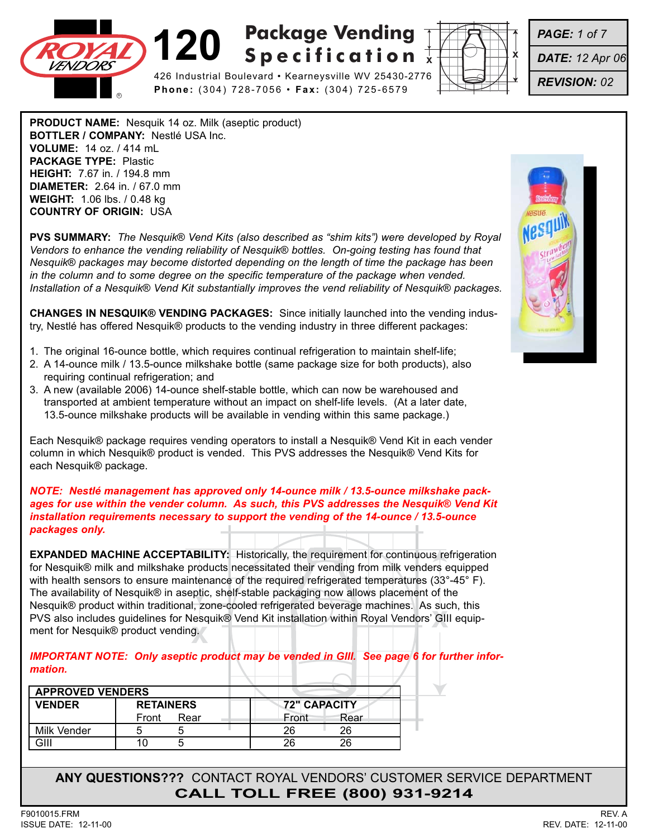

426 Industrial Boulevard • Kearneysville WV 25430-2776 **Phone:** (304) 728-7056 • **Fax:** (304) 725-6579



*PAGE: 1 of 7*

*DATE: 12 Apr 06*

*REVISION: 02*

**PRODUCT NAME:** Nesquik 14 oz. Milk (aseptic product) **BOTTLER / COMPANY:** Nestlé USA Inc. **VOLUME:** 14 oz. / 414 mL **PACKAGE TYPE:** Plastic **HEIGHT:** 7.67 in. / 194.8 mm **DIAMETER:** 2.64 in. / 67.0 mm **WEIGHT:** 1.06 lbs. / 0.48 kg **COUNTRY OF ORIGIN:** USA

**PVS SUMMARY:** *The Nesquik® Vend Kits (also described as "shim kits") were developed by Royal Vendors to enhance the vending reliability of Nesquik® bottles. On-going testing has found that Nesquik® packages may become distorted depending on the length of time the package has been in the column and to some degree on the specific temperature of the package when vended. Installation of a Nesquik® Vend Kit substantially improves the vend reliability of Nesquik® packages.*

**CHANGES IN NESQUIK® VENDING PACKAGES:** Since initially launched into the vending industry, Nestlé has offered Nesquik® products to the vending industry in three different packages:

- 1. The original 16-ounce bottle, which requires continual refrigeration to maintain shelf-life;
- 2. A 14-ounce milk / 13.5-ounce milkshake bottle (same package size for both products), also requiring continual refrigeration; and
- 3. A new (available 2006) 14-ounce shelf-stable bottle, which can now be warehoused and transported at ambient temperature without an impact on shelf-life levels. (At a later date, 13.5-ounce milkshake products will be available in vending within this same package.)

Each Nesquik® package requires vending operators to install a Nesquik® Vend Kit in each vender column in which Nesquik® product is vended. This PVS addresses the Nesquik® Vend Kits for each Nesquik® package.

*NOTE: Nestlé management has approved only 14-ounce milk / 13.5-ounce milkshake packages for use within the vender column. As such, this PVS addresses the Nesquik® Vend Kit installation requirements necessary to support the vending of the 14-ounce / 13.5-ounce packages only.*

PVS also includes guidelines for Nesquik® Vend Kit installation within Royal Vendors' GIII equip-<br>ment for Nesquik® product vending. **EXPANDED MACHINE ACCEPTABILITY:** Historically, the requirement for continuous refrigeration for Nesquik® milk and milkshake products necessitated their vending from milk venders equipped with health sensors to ensure maintenance of the required refrigerated temperatures (33°-45° F). The availability of Nesquik® in aseptic, shelf-stable packaging now allows placement of the Nesquik® product within traditional, zone-cooled refrigerated beverage machines. As such, this ment for Nesquik® product vending.

*IMPORTANT NOTE: Only aseptic product may be vended in GIII. See page 6 for further information.*

| <b>APPROVED VENDERS</b> |                  |                     |
|-------------------------|------------------|---------------------|
| <b>VENDER</b>           | <b>RETAINERS</b> | <b>72" CAPACITY</b> |
|                         | Rear<br>Front    | Front<br>Rear       |
| Milk Vender             |                  | 26                  |
|                         |                  |                     |

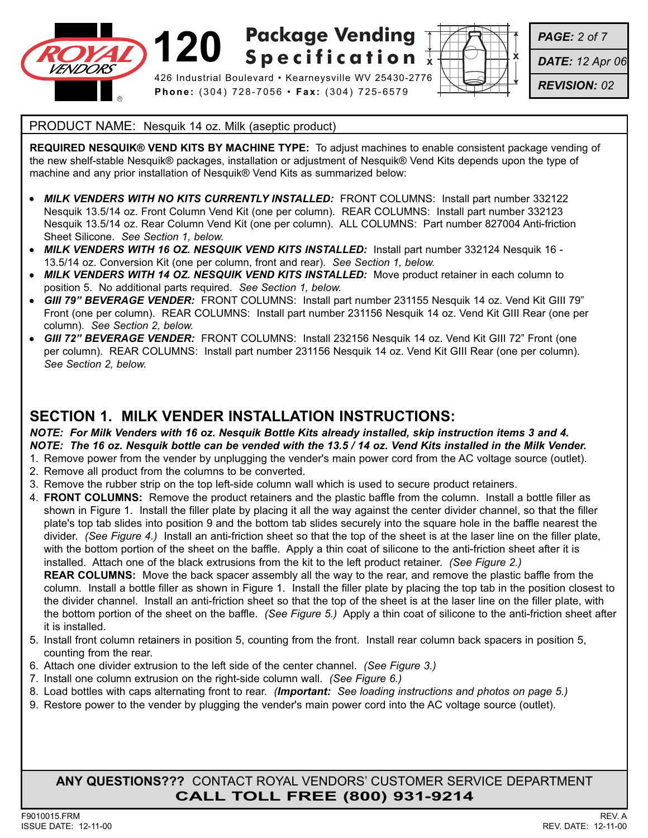

426 Industrial Boulevard • Kearneysville WV 25430-2776 **Phone:** (304) 728-7056 • **Fax:** (304) 725-6579



*PAGE: 2 of 7*

*DATE: 12 Apr 06*

*REVISION: 02*

#### PRODUCT NAME: Nesquik 14 oz. Milk (aseptic product)

**REQUIRED NESQUIK® VEND KITS BY MACHINE TYPE:** To adjust machines to enable consistent package vending of the new shelf-stable Nesquik® packages, installation or adjustment of Nesquik® Vend Kits depends upon the type of machine and any prior installation of Nesquik® Vend Kits as summarized below:

- **MILK VENDERS WITH NO KITS CURRENTLY INSTALLED:** FRONT COLUMNS: Install part number 332122 Nesquik 13.5/14 oz. Front Column Vend Kit (one per column). REAR COLUMNS: Install part number 332123 Nesquik 13.5/14 oz. Rear Column Vend Kit (one per column). ALL COLUMNS: Part number 827004 Anti-friction Sheet Silicone. *See Section 1, below.*
- *MILK VENDERS WITH 16 OZ. NESQUIK VEND KITS INSTALLED:* Install part number 332124 Nesquik 16 13.5/14 oz. Conversion Kit (one per column, front and rear). *See Section 1, below.*
- *MILK VENDERS WITH 14 OZ. NESQUIK VEND KITS INSTALLED:* Move product retainer in each column to position 5. No additional parts required. *See Section 1, below.*
- *GIII 79" BEVERAGE VENDER:* FRONT COLUMNS: Install part number 231155 Nesquik 14 oz. Vend Kit GIII 79" Front (one per column). REAR COLUMNS: Install part number 231156 Nesquik 14 oz. Vend Kit GIII Rear (one per column). *See Section 2, below.*
- *GIII 72" BEVERAGE VENDER:* FRONT COLUMNS: Install 232156 Nesquik 14 oz. Vend Kit GIII 72" Front (one per column). REAR COLUMNS: Install part number 231156 Nesquik 14 oz. Vend Kit GIII Rear (one per column). *See Section 2, below.*

### **SECTION 1. MILK VENDER INSTALLATION INSTRUCTIONS:**

*NOTE: For Milk Venders with 16 oz. Nesquik Bottle Kits already installed, skip instruction items 3 and 4. NOTE: The 16 oz. Nesquik bottle can be vended with the 13.5 / 14 oz. Vend Kits installed in the Milk Vender.*

- 1. Remove power from the vender by unplugging the vender's main power cord from the AC voltage source (outlet).
- 2. Remove all product from the columns to be converted.
- 3. Remove the rubber strip on the top left-side column wall which is used to secure product retainers.
- 4. **FRONT COLUMNS:** Remove the product retainers and the plastic baffle from the column. Install a bottle filler as shown in Figure 1. Install the filler plate by placing it all the way against the center divider channel, so that the filler plate's top tab slides into position 9 and the bottom tab slides securely into the square hole in the baffle nearest the divider. *(See Figure 4.)* Install an anti-friction sheet so that the top of the sheet is at the laser line on the filler plate, with the bottom portion of the sheet on the baffle. Apply a thin coat of silicone to the anti-friction sheet after it is installed. Attach one of the black extrusions from the kit to the left product retainer. *(See Figure 2.)*

**REAR COLUMNS:** Move the back spacer assembly all the way to the rear, and remove the plastic baffle from the column. Install a bottle filler as shown in Figure 1. Install the filler plate by placing the top tab in the position closest to the divider channel. Install an anti-friction sheet so that the top of the sheet is at the laser line on the filler plate, with the bottom portion of the sheet on the baffle. *(See Figure 5.)* Apply a thin coat of silicone to the anti-friction sheet after it is installed.

- 5. Install front column retainers in position 5, counting from the front. Install rear column back spacers in position 5, counting from the rear.
- 6. Attach one divider extrusion to the left side of the center channel. *(See Figure 3.)*
- 7. Install one column extrusion on the right-side column wall. *(See Figure 6.)*
- 8. Load bottles with caps alternating front to rear. *(Important: See loading instructions and photos on page 5.)*
- 9. Restore power to the vender by plugging the vender's main power cord into the AC voltage source (outlet).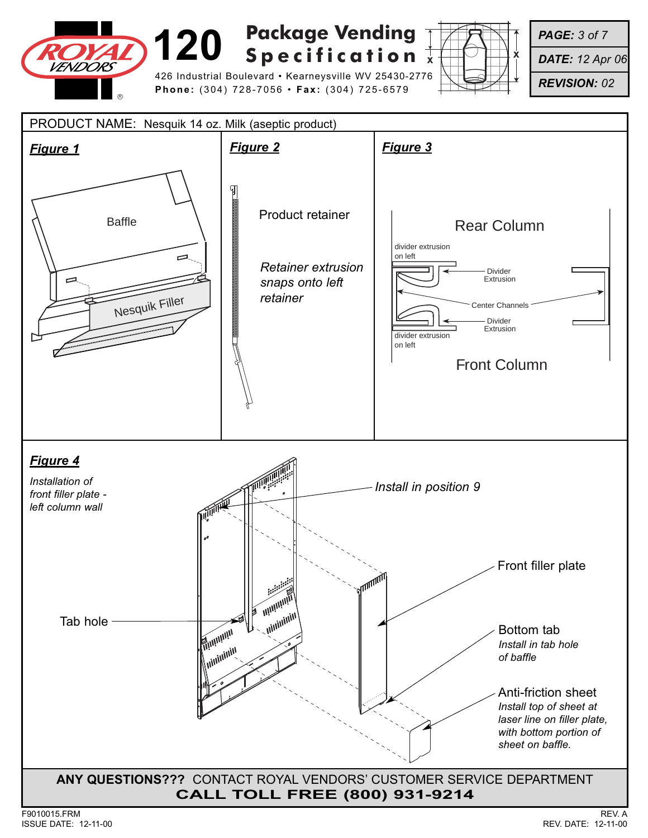

426 Industrial Boulevard • Kearneysville WV 25430-2776 **Phone:** (304) 728-7056 • **Fax:** (304) 725-6579



*PAGE: 3 of 7*

*DATE: 12 Apr 06*

*REVISION: 02*

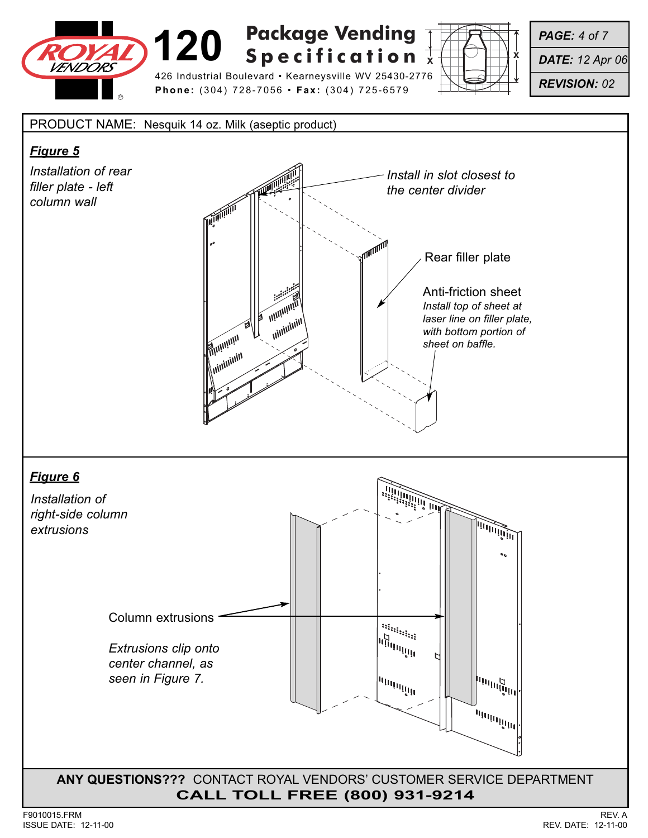

426 Industrial Boulevard • Kearneysville WV 25430-2776 **Phone:** (304) 728-7056 • **Fax:** (304) 725-6579



*PAGE: 4 of 7*

*DATE: 12 Apr 06*

*REVISION: 02*

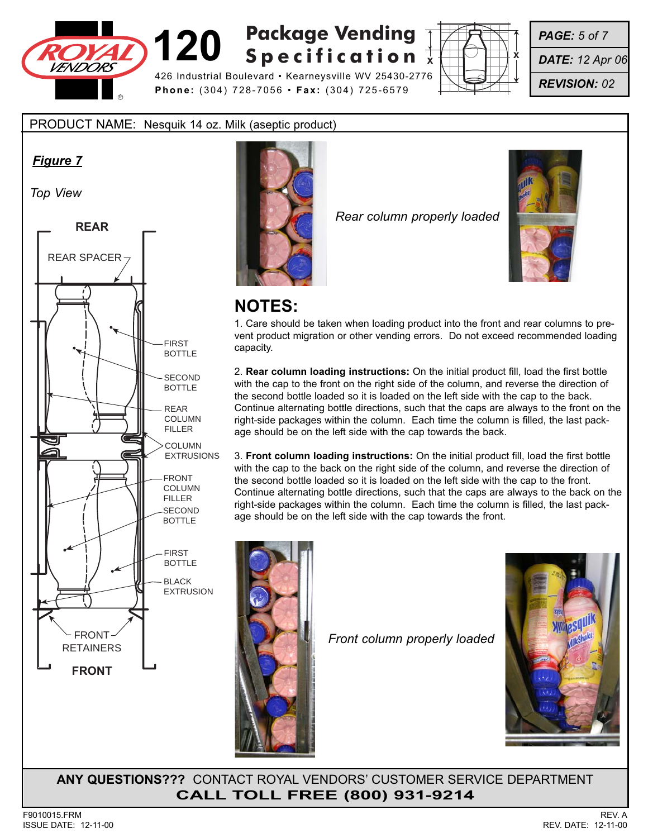

426 Industrial Boulevard • Kearneysville WV 25430-2776 **Phone:** (304) 728-7056 • **Fax:** (304) 725-6579



*PAGE: 5 of 7*

*DATE: 12 Apr 06*

*REVISION: 02*

PRODUCT NAME: Nesquik 14 oz. Milk (aseptic product)

### *Figure 7*

*Top View*





*Rear column properly loaded*



## **NOTES:**

1. Care should be taken when loading product into the front and rear columns to prevent product migration or other vending errors. Do not exceed recommended loading capacity.

2. **Rear column loading instructions:** On the initial product fill, load the first bottle with the cap to the front on the right side of the column, and reverse the direction of the second bottle loaded so it is loaded on the left side with the cap to the back. Continue alternating bottle directions, such that the caps are always to the front on the right-side packages within the column. Each time the column is filled, the last package should be on the left side with the cap towards the back.

3. **Front column loading instructions:** On the initial product fill, load the first bottle with the cap to the back on the right side of the column, and reverse the direction of the second bottle loaded so it is loaded on the left side with the cap to the front. Continue alternating bottle directions, such that the caps are always to the back on the right-side packages within the column. Each time the column is filled, the last package should be on the left side with the cap towards the front.



*Front column properly loaded*

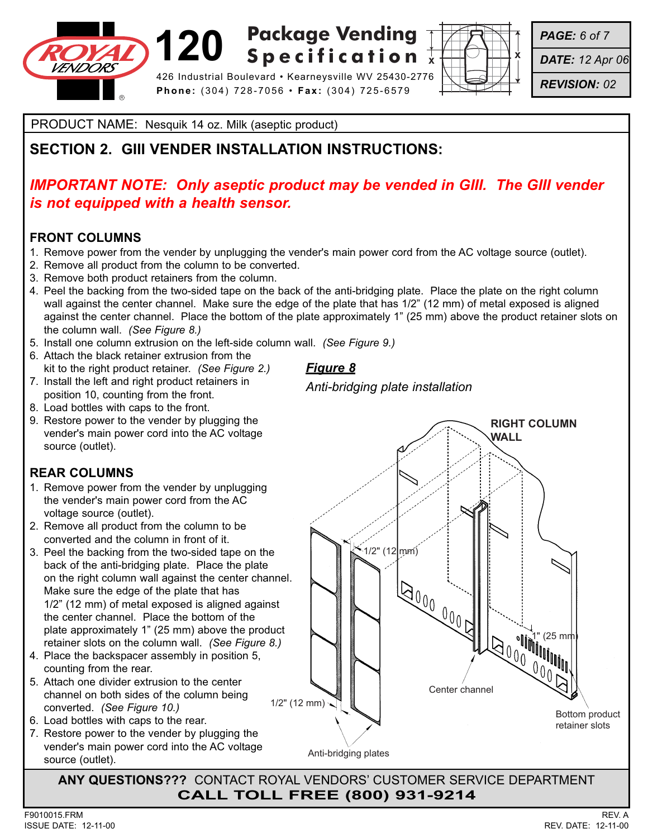

# **120 Specification**  $\sqrt{2}$ **Specification**

426 Industrial Boulevard • Kearneysville WV 25430-2776 **Phone:** (304) 728-7056 • **Fax:** (304) 725-6579



*PAGE: 6 of 7*

*DATE: 12 Apr 06*

*REVISION: 02*

PRODUCT NAME: Nesquik 14 oz. Milk (aseptic product)

## **SECTION 2. GIII VENDER INSTALLATION INSTRUCTIONS:**

## *IMPORTANT NOTE: Only aseptic product may be vended in GIII. The GIII vender is not equipped with a health sensor.*

### **FRONT COLUMNS**

- 1. Remove power from the vender by unplugging the vender's main power cord from the AC voltage source (outlet).
- 2. Remove all product from the column to be converted.
- 3. Remove both product retainers from the column.
- 4. Peel the backing from the two-sided tape on the back of the anti-bridging plate. Place the plate on the right column wall against the center channel. Make sure the edge of the plate that has 1/2" (12 mm) of metal exposed is aligned against the center channel. Place the bottom of the plate approximately 1" (25 mm) above the product retainer slots on the column wall. *(See Figure 8.)*
- 5. Install one column extrusion on the left-side column wall. *(See Figure 9.)*
- 6. Attach the black retainer extrusion from the kit to the right product retainer. *(See Figure 2.)*
- 7. Install the left and right product retainers in position 10, counting from the front.
- 8. Load bottles with caps to the front.
- 9. Restore power to the vender by plugging the vender's main power cord into the AC voltage source (outlet).

## **REAR COLUMNS**

- 1. Remove power from the vender by unplugging the vender's main power cord from the AC voltage source (outlet).
- 2. Remove all product from the column to be converted and the column in front of it.
- 3. Peel the backing from the two-sided tape on the back of the anti-bridging plate. Place the plate on the right column wall against the center channel. Make sure the edge of the plate that has 1/2" (12 mm) of metal exposed is aligned against the center channel. Place the bottom of the plate approximately 1" (25 mm) above the product retainer slots on the column wall. *(See Figure 8.)*
- 4. Place the backspacer assembly in position 5, counting from the rear.
- 5. Attach one divider extrusion to the center channel on both sides of the column being converted. *(See Figure 10.)*
- 6. Load bottles with caps to the rear.
- 7. Restore power to the vender by plugging the vender's main power cord into the AC voltage source (outlet).

*Figure 8*

*Anti-bridging plate installation*